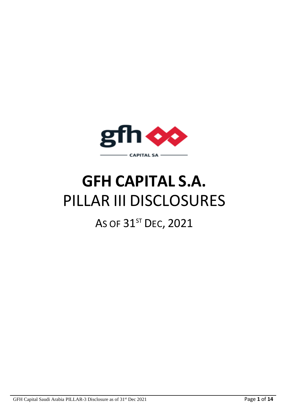

# **GFH CAPITAL S.A.** PILLAR III DISCLOSURES

## AS OF 31<sup>ST</sup> DEC, 2021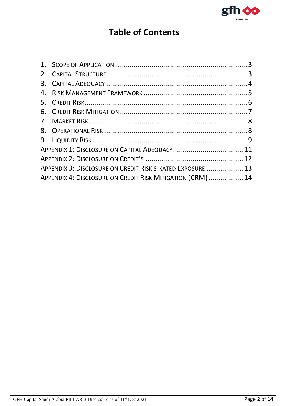

## **Table of Contents**

| APPENDIX 3: DISCLOSURE ON CREDIT RISK'S RATED EXPOSURE  13 |  |
|------------------------------------------------------------|--|
| APPENDIX 4: DISCLOSURE ON CREDIT RISK MITIGATION (CRM) 14  |  |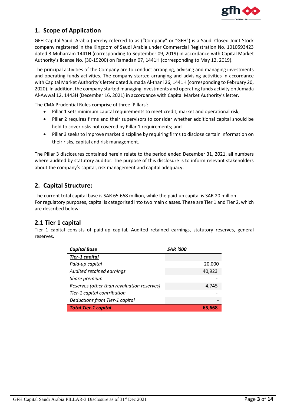

#### <span id="page-2-0"></span>**1. Scope of Application**

GFH Capital Saudi Arabia (hereby referred to as ("Company" or "GFH") is a Saudi Closed Joint Stock company registered in the Kingdom of Saudi Arabia under Commercial Registration No. 1010593423 dated 3 Muharram 1441H (corresponding to September 09, 2019) in accordance with Capital Market Authority's license No. (30-19200) on Ramadan 07, 1441H (corresponding to May 12, 2019).

The principal activities of the Company are to conduct arranging, advising and managing investments and operating funds activities. The company started arranging and advising activities in accordance with Capital Market Authority's letter dated Jumada Al-thani 26, 1441H (corresponding to February 20, 2020). In addition, the company started managing investments and operating funds activity on Jumada Al-Awwal 12, 1443H (December 16, 2021) in accordance with Capital Market Authority's letter.

The CMA Prudential Rules comprise of three 'Pillars':

- Pillar 1 sets minimum capital requirements to meet credit, market and operational risk;
- Pillar 2 requires firms and their supervisors to consider whether additional capital should be held to cover risks not covered by Pillar 1 requirements; and
- Pillar 3 seeks to improve market discipline by requiring firms to disclose certain information on their risks, capital and risk management.

The Pillar 3 disclosures contained herein relate to the period ended December 31, 2021, all numbers where audited by statutory auditor. The purpose of this disclosure is to inform relevant stakeholders about the company's capital, risk management and capital adequacy.

#### <span id="page-2-1"></span>**2. Capital Structure:**

The current total capital base is SAR 65.668 million, while the paid-up capital is SAR 20 million. For regulatory purposes, capital is categorised into two main classes. These are Tier 1 and Tier 2, which are described below:

#### **2.1 Tier 1 capital**

Tier 1 capital consists of paid-up capital, Audited retained earnings, statutory reserves, general reserves.

| <b>Capital Base</b>                        | <b>SAR '000</b> |
|--------------------------------------------|-----------------|
| <b>Tier-1 capital</b>                      |                 |
| Paid-up capital                            | 20,000          |
| Audited retained earnings                  | 40,923          |
| Share premium                              |                 |
| Reserves (other than revaluation reserves) | 4,745           |
| Tier-1 capital contribution                |                 |
| Deductions from Tier-1 capital             |                 |
| <b>Total Tier-1 capital</b>                | 65,668          |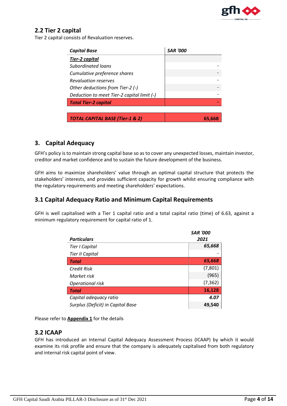

#### **2.2 Tier 2 capital**

Tier 2 capital consists of Revaluation reserves.

| <b>Capital Base</b>                        | <i>SAR '000</i> |
|--------------------------------------------|-----------------|
| <b>Tier-2 capital</b>                      |                 |
| Subordinated loans                         |                 |
| Cumulative preference shares               |                 |
| <b>Revaluation reserves</b>                |                 |
| Other deductions from Tier-2 (-)           |                 |
| Deduction to meet Tier-2 capital limit (-) |                 |
| <b>Total Tier-2 capital</b>                |                 |
|                                            |                 |
| <b>TOTAL CAPITAL BASE (Tier-1 &amp; 2)</b> | 65.b            |

#### <span id="page-3-0"></span>**3. Capital Adequacy**

GFH's policy is to maintain strong capital base so as to cover any unexpected losses, maintain investor, creditor and market confidence and to sustain the future development of the business.

GFH aims to maximize shareholders' value through an optimal capital structure that protects the stakeholders' interests, and provides sufficient capacity for growth whilst ensuring compliance with the regulatory requirements and meeting shareholders' expectations.

#### **3.1 Capital Adequacy Ratio and Minimum Capital Requirements**

GFH is well capitalised with a Tier 1 capital ratio and a total capital ratio (time) of 6.63, against a minimum regulatory requirement for capital ratio of 1.

|                                   | <b>SAR '000</b> |
|-----------------------------------|-----------------|
| <b>Particulars</b>                | 2021            |
| Tier I Capital                    | 65,668          |
| <b>Tier II Capital</b>            |                 |
| <b>Total</b>                      | 65,668          |
| <b>Credit Risk</b>                | (7,801)         |
| Market risk                       | (965)           |
| Operational risk                  | (7, 362)        |
| <b>Total</b>                      | 16,128          |
| Capital adequacy ratio            | 4.07            |
| Surplus (Deficit) in Capital Base | 49,540          |

Please refer to **Appendix 1** for the details

#### **3.2 ICAAP**

GFH has introduced an Internal Capital Adequacy Assessment Process (ICAAP) by which it would examine its risk profile and ensure that the company is adequately capitalised from both regulatory and internal risk capital point of view.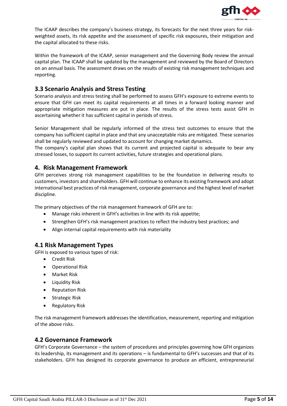

The ICAAP describes the company's business strategy, its forecasts for the next three years for riskweighted assets, its risk appetite and the assessment of specific risk exposures, their mitigation and the capital allocated to these risks.

Within the framework of the ICAAP, senior management and the Governing Body review the annual capital plan. The ICAAP shall be updated by the management and reviewed by the Board of Directors on an annual basis. The assessment draws on the results of existing risk management techniques and reporting.

#### **3.3 Scenario Analysis and Stress Testing**

Scenario analysis and stress testing shall be performed to assess GFH's exposure to extreme events to ensure that GFH can meet its capital requirements at all times in a forward looking manner and appropriate mitigation measures are put in place. The results of the stress tests assist GFH in ascertaining whether it has sufficient capital in periods of stress.

Senior Management shall be regularly informed of the stress test outcomes to ensure that the company has sufficient capital in place and that any unacceptable risks are mitigated. These scenarios shall be regularly reviewed and updated to account for changing market dynamics.

The company's capital plan shows that its current and projected capital is adequate to bear any stressed losses, to support its current activities, future strategies and operational plans.

#### <span id="page-4-0"></span>**4. Risk Management Framework**

GFH perceives strong risk management capabilities to be the foundation in delivering results to customers, investors and shareholders. GFH will continue to enhance its existing framework and adopt international best practices of risk management, corporate governance and the highest level of market discipline.

The primary objectives of the risk management framework of GFH are to:

- Manage risks inherent in GFH's activities in line with its risk appetite;
- Strengthen GFH's risk management practices to reflect the industry best practices; and
- Align internal capital requirements with risk materiality

#### **4.1 Risk Management Types**

GFH is exposed to various types of risk:

- **•** Credit Risk
- Operational Risk
- Market Risk
- Liquidity Risk
- Reputation Risk
- **•** Strategic Risk
- Regulatory Risk

The risk management framework addresses the identification, measurement, reporting and mitigation of the above risks.

#### **4.2 Governance Framework**

GFH's Corporate Governance – the system of procedures and principles governing how GFH organizes its leadership, its management and its operations – is fundamental to GFH's successes and that of its stakeholders. GFH has designed its corporate governance to produce an efficient, entrepreneurial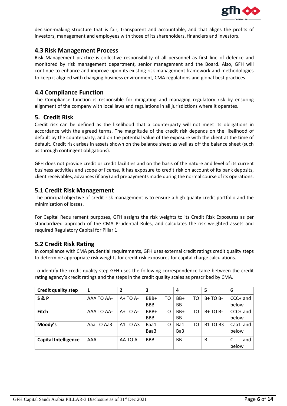

decision-making structure that is fair, transparent and accountable, and that aligns the profits of investors, management and employees with those of its shareholders, financiers and investors.

#### **4.3 Risk Management Process**

Risk Management practice is collective responsibility of all personnel as first line of defence and monitored by risk management department, senior management and the Board. Also, GFH will continue to enhance and improve upon its existing risk management framework and methodologies to keep it aligned with changing business environment, CMA regulations and global best practices.

#### **4.4 Compliance Function**

The Compliance function is responsible for mitigating and managing regulatory risk by ensuring alignment of the company with local laws and regulations in all jurisdictions where it operates.

#### <span id="page-5-0"></span>**5. Credit Risk**

Credit risk can be defined as the likelihood that a counterparty will not meet its obligations in accordance with the agreed terms. The magnitude of the credit risk depends on the likelihood of default by the counterparty, and on the potential value of the exposure with the client at the time of default. Credit risk arises in assets shown on the balance sheet as well as off the balance sheet (such as through contingent obligations).

GFH does not provide credit or credit facilities and on the basis of the nature and level of its current business activities and scope of license, it has exposure to credit risk on account of its bank deposits, client receivables, advances (if any) and prepayments made during the normal course of its operations.

#### **5.1 Credit Risk Management**

The principal objective of credit risk management is to ensure a high quality credit portfolio and the minimization of losses.

For Capital Requirement purposes, GFH assigns the risk weights to its Credit Risk Exposures as per standardized approach of the CMA Prudential Rules, and calculates the risk weighted assets and required Regulatory Capital for Pillar 1.

#### **5.2 Credit Risk Rating**

In compliance with CMA prudential requirements, GFH uses external credit ratings credit quality steps to determine appropriate risk weights for credit risk exposures for capital charge calculations.

To identify the credit quality step GFH uses the following correspondence table between the credit rating agency's credit ratings and the steps in the credit quality scales as prescribed by CMA.

| <b>Credit quality step</b>  | 1                 | 2        | 3          |    | 4         |    | 5               | 6        |
|-----------------------------|-------------------|----------|------------|----|-----------|----|-----------------|----------|
| <b>S&amp;P</b>              | AAA TO AA-        | $A+TOA-$ | BBB+       | TO | BB+       | то | $B+TOB-$        | CCC+ and |
|                             |                   |          | BBB-       |    | BB-       |    |                 | below    |
| <b>Fitch</b>                | <b>AAA TO AA-</b> | $A+TOA-$ | BBB+       | TO | BB+       | TO | $B+TOB-$        | CCC+ and |
|                             |                   |          | BBB-       |    | BB-       |    |                 | below    |
| Moody's                     | Aaa TO Aa3        | A1 TO A3 | Baa1       | TO | Ba1       | TO | <b>B1 TO B3</b> | Caa1 and |
|                             |                   |          | Baa3       |    | Ba3       |    |                 | below    |
| <b>Capital Intelligence</b> | AAA               | AA TO A  | <b>BBB</b> |    | <b>BB</b> |    | B               | and      |
|                             |                   |          |            |    |           |    |                 | below    |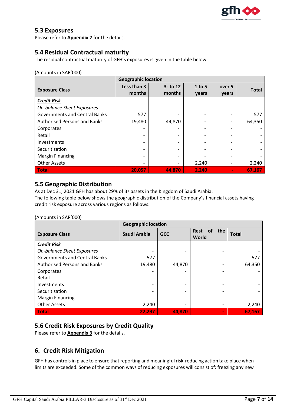

#### **5.3 Exposures**

Please refer to **Appendix 2** for the details.

#### **5.4 Residual Contractual maturity**

The residual contractual maturity of GFH's exposures is given in the table below:

#### (Amounts in SAR'000)

|                                      | <b>Geographic location</b> |                       |                          |                 |              |  |
|--------------------------------------|----------------------------|-----------------------|--------------------------|-----------------|--------------|--|
| <b>Exposure Class</b>                | Less than 3<br>months      | $3 -$ to 12<br>months | $1$ to 5<br>years        | over 5<br>years | <b>Total</b> |  |
| <b>Credit Risk</b>                   |                            |                       |                          |                 |              |  |
| <b>On-balance Sheet Exposures</b>    |                            |                       |                          |                 |              |  |
| <b>Governments and Central Banks</b> | 577                        |                       | $\overline{ }$           |                 | 577          |  |
| <b>Authorised Persons and Banks</b>  | 19,480                     | 44,870                | $\overline{\phantom{0}}$ |                 | 64,350       |  |
| Corporates                           |                            |                       |                          |                 |              |  |
| Retail                               |                            |                       |                          |                 |              |  |
| Investments                          |                            |                       |                          |                 |              |  |
| Securitisation                       |                            |                       |                          |                 |              |  |
| <b>Margin Financing</b>              |                            |                       |                          |                 |              |  |
| <b>Other Assets</b>                  | -                          |                       | 2,240                    |                 | 2,240        |  |
| Total                                | 20,057                     | 44,870                | 2,240                    | $\blacksquare$  | 67,167       |  |

#### **5.5 Geographic Distribution**

As at Dec 31, 2021 GFH has about 29% of its assets in the Kingdom of Saudi Arabia.

The following table below shows the geographic distribution of the Company's financial assets having credit risk exposure across various regions as follows:

#### (Amounts in SAR'000)

|                                      | <b>Geographic location</b> |            |                                          |              |  |  |
|--------------------------------------|----------------------------|------------|------------------------------------------|--------------|--|--|
| <b>Exposure Class</b>                | Saudi Arabia               | <b>GCC</b> | <b>Rest</b><br>the<br><b>of</b><br>World | <b>Total</b> |  |  |
| <b>Credit Risk</b>                   |                            |            |                                          |              |  |  |
| <b>On-balance Sheet Exposures</b>    |                            |            |                                          |              |  |  |
| <b>Governments and Central Banks</b> | 577                        |            |                                          | 577          |  |  |
| <b>Authorised Persons and Banks</b>  | 19,480                     | 44,870     |                                          | 64,350       |  |  |
| Corporates                           |                            |            |                                          |              |  |  |
| Retail                               |                            |            |                                          |              |  |  |
| Investments                          |                            |            |                                          |              |  |  |
| Securitisation                       |                            |            |                                          |              |  |  |
| <b>Margin Financing</b>              |                            |            |                                          |              |  |  |
| <b>Other Assets</b>                  | 2,240                      | ۰          |                                          | 2,240        |  |  |
| <b>Total</b>                         | 22,297                     | 44.870     | $\sim$                                   | 67,167       |  |  |

#### **5.6 Credit Risk Exposures by Credit Quality**

Please refer to **Appendix 3** for the details.

#### <span id="page-6-0"></span>**6. Credit Risk Mitigation**

GFH has controls in place to ensure that reporting and meaningful risk-reducing action take place when limits are exceeded. Some of the common ways of reducing exposures will consist of: freezing any new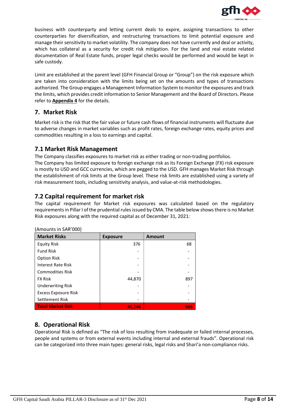

business with counterparty and letting current deals to expire, assigning transactions to other counterparties for diversification, and restructuring transactions to limit potential exposure and manage their sensitivity to market volatility. The company does not have currently and deal or activity, which has collateral as a security for credit risk mitigation. For the land and real estate related documentation of Real Estate funds, proper legal checks would be performed and would be kept in safe custody.

Limit are established at the parent level (GFH Financial Group or "Group") on the risk exposure which are taken into consideration with the limits being set on the amounts and types of transactions authorized. The Group engages a Management Information System to monitor the exposures and track the limits, which provides credit information to Senior Management and the Board of Directors. Please refer to **Appendix 4** for the details.

#### <span id="page-7-0"></span>**7. Market Risk**

Market risk is the risk that the fair value or future cash flows of financial instruments will fluctuate due to adverse changes in market variables such as profit rates, foreign exchange rates, equity prices and commodities resulting in a loss to earnings and capital.

#### **7.1 Market Risk Management**

The Company classifies exposures to market risk as either trading or non-trading portfolios. The Company has limited exposure to foreign exchange risk as its Foreign Exchange (FX) risk exposure is mostly to USD and GCC currencies, which are pegged to the USD. GFH manages Market Risk through the establishment of risk limits at the Group level. These risk limits are established using a variety of risk measurement tools, including sensitivity analysis, and value-at-risk methodologies.

#### **7.2 Capital requirement for market risk**

The capital requirement for Market risk exposures was calculated based on the regulatory requirements in Pillar I of the prudential rules issued by CMA. The table below shows there is no Market Risk exposures along with the required capital as of December 31, 2021:

| <b>Market Risks</b>         | <b>Exposure</b> | <b>Amount</b> |
|-----------------------------|-----------------|---------------|
| <b>Equity Risk</b>          | 376             | 68            |
| <b>Fund Risk</b>            |                 |               |
| <b>Option Risk</b>          |                 |               |
| Interest Rate Risk          |                 |               |
| <b>Commodities Risk</b>     |                 |               |
| <b>FX Risk</b>              | 44,870          | 897           |
| <b>Underwriting Risk</b>    |                 |               |
| <b>Excess Exposure Risk</b> |                 |               |
| Settlement Risk             |                 |               |
| <b>Total Market Risk</b>    | 45,246          | 965           |

(Amounts in SAR'000)

#### <span id="page-7-1"></span>**8. Operational Risk**

Operational Risk is defined as "The risk of loss resulting from inadequate or failed internal processes, people and systems or from external events including internal and external frauds". Operational risk can be categorized into three main types: general risks, legal risks and Shari'a non-compliance risks.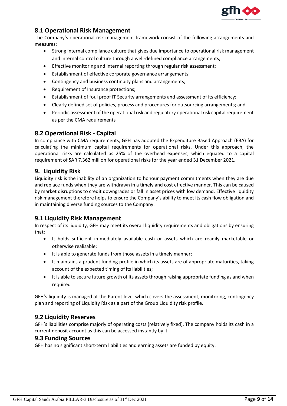

#### **8.1 Operational Risk Management**

The Company's operational risk management framework consist of the following arrangements and measures:

- Strong internal compliance culture that gives due importance to operational risk management and internal control culture through a well-defined compliance arrangements;
- Effective monitoring and internal reporting through regular risk assessment;
- Establishment of effective corporate governance arrangements;
- Contingency and business continuity plans and arrangements;
- Requirement of Insurance protections;
- Establishment of foul proof IT Security arrangements and assessment of its efficiency;
- Clearly defined set of policies, process and procedures for outsourcing arrangements; and
- Periodic assessment of the operational risk and regulatory operational risk capital requirement as per the CMA requirements

#### **8.2 Operational Risk - Capital**

In compliance with CMA requirements, GFH has adopted the Expenditure Based Approach (EBA) for calculating the minimum capital requirements for operational risks. Under this approach, the operational risks are calculated as 25% of the overhead expenses, which equated to a capital requirement of SAR 7.362 million for operational risks for the year ended 31 December 2021.

#### <span id="page-8-0"></span>**9. Liquidity Risk**

Liquidity risk is the inability of an organization to honour payment commitments when they are due and replace funds when they are withdrawn in a timely and cost effective manner. This can be caused by market disruptions to credit downgrades or fall in asset prices with low demand. Effective liquidity risk management therefore helps to ensure the Company's ability to meet its cash flow obligation and in maintaining diverse funding sources to the Company.

#### **9.1 Liquidity Risk Management**

In respect of its liquidity, GFH may meet its overall liquidity requirements and obligations by ensuring that:

- It holds sufficient immediately available cash or assets which are readily marketable or otherwise realisable;
- It is able to generate funds from those assets in a timely manner;
- It maintains a prudent funding profile in which its assets are of appropriate maturities, taking account of the expected timing of its liabilities;
- It is able to secure future growth of its assets through raising appropriate funding as and when required

GFH's liquidity is managed at the Parent level which covers the assessment, monitoring, contingency plan and reporting of Liquidity Risk as a part of the Group Liquidity risk profile.

#### **9.2 Liquidity Reserves**

GFH's liabilities comprise majorly of operating costs (relatively fixed), The company holds its cash in a current deposit account as this can be accessed instantly by it.

#### **9.3 Funding Sources**

GFH has no significant short-term liabilities and earning assets are funded by equity.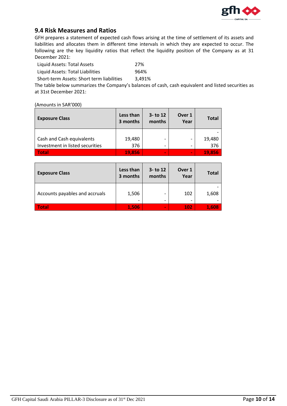

#### **9.4 Risk Measures and Ratios**

GFH prepares a statement of expected cash flows arising at the time of settlement of its assets and liabilities and allocates them in different time intervals in which they are expected to occur. The following are the key liquidity ratios that reflect the liquidity position of the Company as at 31 December 2021:

| Liquid Assets: Total Assets               | 27%    |
|-------------------------------------------|--------|
| Liquid Assets: Total Liabilities          | 964%   |
| Short-term Assets: Short term liabilities | 3,491% |

The table below summarizes the Company's balances of cash, cash equivalent and listed securities as at 31st December 2021:

(Amounts in SAR'000)

| <b>Exposure Class</b>           | Less than<br>3 months | $3 -$ to 12<br>months | Over 1<br>Year           | <b>Total</b> |
|---------------------------------|-----------------------|-----------------------|--------------------------|--------------|
|                                 |                       |                       |                          |              |
| Cash and Cash equivalents       | 19,480                | -                     | $\overline{\phantom{a}}$ | 19,480       |
| Investment in listed securities | 376                   | -                     | -                        | 376          |
| Total                           | 19.856                | $\blacksquare$        | $\blacksquare$           | 19,856       |

| <b>Exposure Class</b>          | Less than<br>3 months | $3 -$ to 12<br>months | Over 1<br>Year | <b>Total</b> |
|--------------------------------|-----------------------|-----------------------|----------------|--------------|
| Accounts payables and accruals | 1,506                 |                       | 102<br>-       | 1,608        |
| <b>Total</b>                   | 1,506                 | $\blacksquare$        | 102            | 1,608        |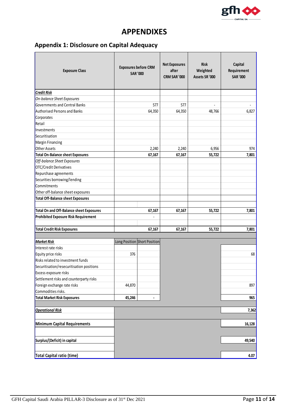

## **APPENDIXES**

## <span id="page-10-0"></span>**Appendix 1: Disclosure on Capital Adequacy**

| <b>Exposure Class</b>                     |        | <b>Net Exposures</b><br><b>Exposures before CRM</b><br><b>SAR '000</b> |        | <b>Risk</b><br>Weighted<br>Assets SR '000 | Capital<br>Requirement<br><b>SAR '000</b> |
|-------------------------------------------|--------|------------------------------------------------------------------------|--------|-------------------------------------------|-------------------------------------------|
| <b>Credit Risk</b>                        |        |                                                                        |        |                                           |                                           |
| On-balance Sheet Exposures                |        |                                                                        |        |                                           |                                           |
| Governments and Central Banks             |        | 577                                                                    | 577    |                                           |                                           |
| <b>Authorised Persons and Banks</b>       |        | 64,350                                                                 | 64,350 | 48,766                                    | 6,827                                     |
| Corporates                                |        |                                                                        |        |                                           |                                           |
| Retail                                    |        |                                                                        |        |                                           |                                           |
| Investments                               |        |                                                                        |        |                                           |                                           |
| Securitisation                            |        |                                                                        |        |                                           |                                           |
| Margin Financing                          |        |                                                                        |        |                                           |                                           |
| Other Assets                              |        | 2,240                                                                  | 2,240  | 6,956                                     | 974                                       |
| <b>Total On-Balance sheet Exposures</b>   |        | 67,167                                                                 | 67,167 | 55,722                                    | 7,801                                     |
| Off-balance Sheet Exposures               |        |                                                                        |        |                                           |                                           |
| OTC/Credit Derivatives                    |        |                                                                        |        |                                           |                                           |
| Repurchase agreements                     |        |                                                                        |        |                                           |                                           |
| Securities borrowing/lending              |        |                                                                        |        |                                           |                                           |
| Commitments                               |        |                                                                        |        |                                           |                                           |
| Other off-balance sheet exposures         |        |                                                                        |        |                                           |                                           |
| <b>Total Off-Balance sheet Exposures</b>  |        |                                                                        |        |                                           |                                           |
| Total On and Off-Balance sheet Exposures  |        | 67,167                                                                 | 67,167 | 55,722                                    | 7,801                                     |
| Prohibited Exposure Risk Requirement      |        |                                                                        |        |                                           |                                           |
| <b>Total Credit Risk Exposures</b>        |        | 67,167                                                                 | 67,167 | 55,722                                    | 7,801                                     |
| <b>Market Risk</b>                        |        | Long Position Short Position                                           |        |                                           |                                           |
| Interest rate risks                       |        |                                                                        |        |                                           |                                           |
| Equity price risks                        | 376    |                                                                        |        |                                           | 68                                        |
| Risks related to investment funds         |        |                                                                        |        |                                           |                                           |
| Securitisation/resecuritisation positions |        |                                                                        |        |                                           |                                           |
| Excess exposure risks                     |        |                                                                        |        |                                           |                                           |
| Settlement risks and counterparty risks   |        |                                                                        |        |                                           |                                           |
| Foreign exchange rate risks               | 44,870 |                                                                        |        |                                           | 897                                       |
| Commodities risks.                        |        |                                                                        |        |                                           |                                           |
| <b>Total Market Risk Exposures</b>        | 45,246 |                                                                        |        |                                           | 965                                       |
|                                           |        |                                                                        |        |                                           |                                           |
| <b>Operational Risk</b>                   |        |                                                                        |        |                                           | 7,362                                     |
| Minimum Capital Requirements              |        |                                                                        |        |                                           | 16,128                                    |
| Surplus/(Deficit) in capital              |        |                                                                        |        |                                           | 49,540                                    |
| Total Capital ratio (time)                |        |                                                                        |        |                                           | 4.07                                      |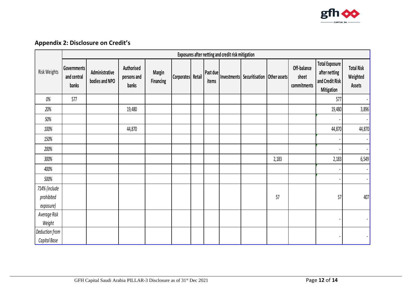

## **Appendix 2: Disclosure on Credit's**

<span id="page-11-0"></span>

|                | Exposures after netting and credit risk mitigation |                                  |                                    |                                   |                   |  |                   |  |                                           |       |                                     |                                                                         |                                                |
|----------------|----------------------------------------------------|----------------------------------|------------------------------------|-----------------------------------|-------------------|--|-------------------|--|-------------------------------------------|-------|-------------------------------------|-------------------------------------------------------------------------|------------------------------------------------|
| Risk Weights   | Governments<br>and central<br>banks                | Administrative<br>bodies and NPO | Authorised<br>persons and<br>banks | <b>Margin</b><br><b>Financing</b> | Corporates Retail |  | Past due<br>items |  | Investments Securitisation   Other assets |       | Off-balance<br>sheet<br>commitments | <b>Total Exposure</b><br>after netting<br>and Credit Risk<br>Mitigation | <b>Total Risk</b><br>Weighted<br><b>Assets</b> |
| $0\%$          | 577                                                |                                  |                                    |                                   |                   |  |                   |  |                                           |       |                                     | 577                                                                     | $\blacksquare$                                 |
| 20%            |                                                    |                                  | 19,480                             |                                   |                   |  |                   |  |                                           |       |                                     | 19,480                                                                  | 3,896                                          |
| 50%            |                                                    |                                  |                                    |                                   |                   |  |                   |  |                                           |       |                                     |                                                                         | $\blacksquare$                                 |
| 100%           |                                                    |                                  | 44,870                             |                                   |                   |  |                   |  |                                           |       |                                     | 44,870                                                                  | 44,870                                         |
| 150%           |                                                    |                                  |                                    |                                   |                   |  |                   |  |                                           |       |                                     |                                                                         | $\blacksquare$                                 |
| 200%           |                                                    |                                  |                                    |                                   |                   |  |                   |  |                                           |       |                                     |                                                                         | $\blacksquare$                                 |
| 300%           |                                                    |                                  |                                    |                                   |                   |  |                   |  |                                           | 2,183 |                                     | 2,183                                                                   | 6,549                                          |
| 400%           |                                                    |                                  |                                    |                                   |                   |  |                   |  |                                           |       |                                     |                                                                         | $\blacksquare$                                 |
| 500%           |                                                    |                                  |                                    |                                   |                   |  |                   |  |                                           |       |                                     |                                                                         | $\blacksquare$                                 |
| 714% (include  |                                                    |                                  |                                    |                                   |                   |  |                   |  |                                           |       |                                     |                                                                         |                                                |
| prohibited     |                                                    |                                  |                                    |                                   |                   |  |                   |  |                                           | 57    |                                     | 57                                                                      | 407                                            |
| exposure)      |                                                    |                                  |                                    |                                   |                   |  |                   |  |                                           |       |                                     |                                                                         |                                                |
| Average Risk   |                                                    |                                  |                                    |                                   |                   |  |                   |  |                                           |       |                                     |                                                                         | $\blacksquare$                                 |
| Weight         |                                                    |                                  |                                    |                                   |                   |  |                   |  |                                           |       |                                     |                                                                         |                                                |
| Deduction from |                                                    |                                  |                                    |                                   |                   |  |                   |  |                                           |       |                                     |                                                                         |                                                |
| Capital Base   |                                                    |                                  |                                    |                                   |                   |  |                   |  |                                           |       |                                     |                                                                         |                                                |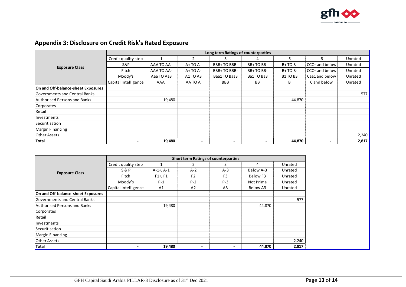

### **Appendix 3: Disclosure on Credit Risk's Rated Exposure**

<span id="page-12-0"></span>

|                                     | Long term Ratings of counterparties |                |                |                                             |                |               |                |         |  |  |  |
|-------------------------------------|-------------------------------------|----------------|----------------|---------------------------------------------|----------------|---------------|----------------|---------|--|--|--|
|                                     | Credit quality step                 | $\mathbf{1}$   | $\overline{2}$ | 3                                           | 4              | 5             | 6              | Unrated |  |  |  |
| <b>Exposure Class</b>               | S&P                                 | AAA TO AA-     | A+TO A-        | BBB+TO BBB-                                 | BB+TO BB-      | B+TO B-       | CCC+ and below | Unrated |  |  |  |
|                                     | Fitch                               | AAA TO AA-     | A+TO A-        | BBB+TO BBB-                                 | BB+TO BB-      | B+TO B-       | CCC+ and below | Unrated |  |  |  |
|                                     | Moody's                             | Aaa TO Aa3     | A1TO A3        | Baa1 TO Baa3                                | Ba1TO Ba3      | <b>B1TOB3</b> | Caa1 and below | Unrated |  |  |  |
|                                     | Capital Intelligence                | AAA            | AA TO A        | <b>BBB</b>                                  | BB             | B             | C and below    | Unrated |  |  |  |
| On and Off-balance-sheet Exposures  |                                     |                |                |                                             |                |               |                |         |  |  |  |
| Governments and Central Banks       |                                     |                |                |                                             |                |               |                | 577     |  |  |  |
| <b>Authorised Persons and Banks</b> |                                     | 19,480         |                |                                             |                | 44,870        |                |         |  |  |  |
| Corporates                          |                                     |                |                |                                             |                |               |                |         |  |  |  |
| Retail                              |                                     |                |                |                                             |                |               |                |         |  |  |  |
| Investments                         |                                     |                |                |                                             |                |               |                |         |  |  |  |
| Securitisation                      |                                     |                |                |                                             |                |               |                |         |  |  |  |
| Margin Financing                    |                                     |                |                |                                             |                |               |                |         |  |  |  |
| Other Assets                        |                                     |                |                |                                             |                |               |                | 2,240   |  |  |  |
| Total                               | $\blacksquare$                      | 19,480         | $\blacksquare$ | $\blacksquare$                              | $\blacksquare$ | 44,870        | $\blacksquare$ | 2,817   |  |  |  |
|                                     |                                     |                |                | <b>Short term Ratings of counterparties</b> |                |               |                |         |  |  |  |
|                                     | Credit quality step                 | $\mathbf{1}$   | $\overline{2}$ | 3                                           | 4              | Unrated       |                |         |  |  |  |
|                                     | <b>S&amp;P</b>                      | $A-1+$ , $A-1$ | $A-2$          | $A-3$                                       | Below A-3      | Unrated       |                |         |  |  |  |
| <b>Exposure Class</b>               | Fitch                               | $F1+, F1$      | F2             | F <sub>3</sub>                              | Below F3       | Unrated       |                |         |  |  |  |
|                                     | Moody's                             | $P-1$          | $P-2$          | $P-3$                                       | Not Prime      | Unrated       |                |         |  |  |  |
|                                     | Capital Intelligence                | A1             | A2             | A <sub>3</sub>                              | Below A3       | Unrated       |                |         |  |  |  |
| On and Off-balance-sheet Exposures  |                                     |                |                |                                             |                |               |                |         |  |  |  |
| Governments and Central Banks       |                                     |                |                |                                             |                | 577           |                |         |  |  |  |
| <b>Authorised Persons and Banks</b> |                                     | 19,480         |                |                                             | 44,870         |               |                |         |  |  |  |
| Corporates                          |                                     |                |                |                                             |                |               |                |         |  |  |  |
| Retail                              |                                     |                |                |                                             |                |               |                |         |  |  |  |
| Investments                         |                                     |                |                |                                             |                |               |                |         |  |  |  |
| Securitisation                      |                                     |                |                |                                             |                |               |                |         |  |  |  |
| Margin Financing                    |                                     |                |                |                                             |                |               |                |         |  |  |  |
| <b>Other Assets</b>                 |                                     |                |                |                                             |                | 2,240         |                |         |  |  |  |
| Total                               | $\blacksquare$                      | 19,480         | $\blacksquare$ | $\blacksquare$                              | 44,870         | 2,817         |                |         |  |  |  |